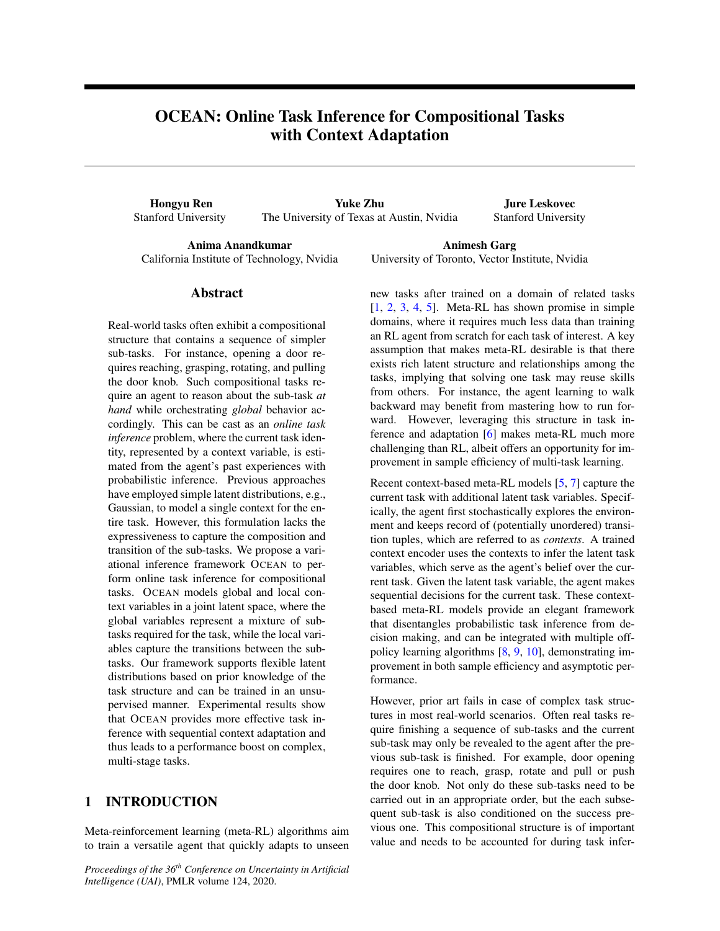# OCEAN: Online Task Inference for Compositional Tasks with Context Adaptation

Hongyu Ren Stanford University

Yuke Zhu The University of Texas at Austin, Nvidia

Jure Leskovec Stanford University

Anima Anandkumar California Institute of Technology, Nvidia

Animesh Garg University of Toronto, Vector Institute, Nvidia

# Abstract

Real-world tasks often exhibit a compositional structure that contains a sequence of simpler sub-tasks. For instance, opening a door requires reaching, grasping, rotating, and pulling the door knob. Such compositional tasks require an agent to reason about the sub-task *at hand* while orchestrating *global* behavior accordingly. This can be cast as an *online task inference* problem, where the current task identity, represented by a context variable, is estimated from the agent's past experiences with probabilistic inference. Previous approaches have employed simple latent distributions, e.g., Gaussian, to model a single context for the entire task. However, this formulation lacks the expressiveness to capture the composition and transition of the sub-tasks. We propose a variational inference framework OCEAN to perform online task inference for compositional tasks. OCEAN models global and local context variables in a joint latent space, where the global variables represent a mixture of subtasks required for the task, while the local variables capture the transitions between the subtasks. Our framework supports flexible latent distributions based on prior knowledge of the task structure and can be trained in an unsupervised manner. Experimental results show that OCEAN provides more effective task inference with sequential context adaptation and thus leads to a performance boost on complex, multi-stage tasks.

# 1 INTRODUCTION

Meta-reinforcement learning (meta-RL) algorithms aim to train a versatile agent that quickly adapts to unseen

*Proceedings of the 36th Conference on Uncertainty in Artificial Intelligence (UAI)*, PMLR volume 124, 2020.

new tasks after trained on a domain of related tasks  $[1, 2, 3, 4, 5]$ . Meta-RL has shown promise in simple domains, where it requires much less data than training an RL agent from scratch for each task of interest. A key assumption that makes meta-RL desirable is that there exists rich latent structure and relationships among the tasks, implying that solving one task may reuse skills from others. For instance, the agent learning to walk backward may benefit from mastering how to run forward. However, leveraging this structure in task inference and adaptation [6] makes meta-RL much more challenging than RL, albeit offers an opportunity for improvement in sample efficiency of multi-task learning.

Recent context-based meta-RL models [5, 7] capture the current task with additional latent task variables. Specifically, the agent first stochastically explores the environment and keeps record of (potentially unordered) transition tuples, which are referred to as *contexts*. A trained context encoder uses the contexts to infer the latent task variables, which serve as the agent's belief over the current task. Given the latent task variable, the agent makes sequential decisions for the current task. These contextbased meta-RL models provide an elegant framework that disentangles probabilistic task inference from decision making, and can be integrated with multiple offpolicy learning algorithms [8, 9, 10], demonstrating improvement in both sample efficiency and asymptotic performance.

However, prior art fails in case of complex task structures in most real-world scenarios. Often real tasks require finishing a sequence of sub-tasks and the current sub-task may only be revealed to the agent after the previous sub-task is finished. For example, door opening requires one to reach, grasp, rotate and pull or push the door knob. Not only do these sub-tasks need to be carried out in an appropriate order, but the each subsequent sub-task is also conditioned on the success previous one. This compositional structure is of important value and needs to be accounted for during task infer-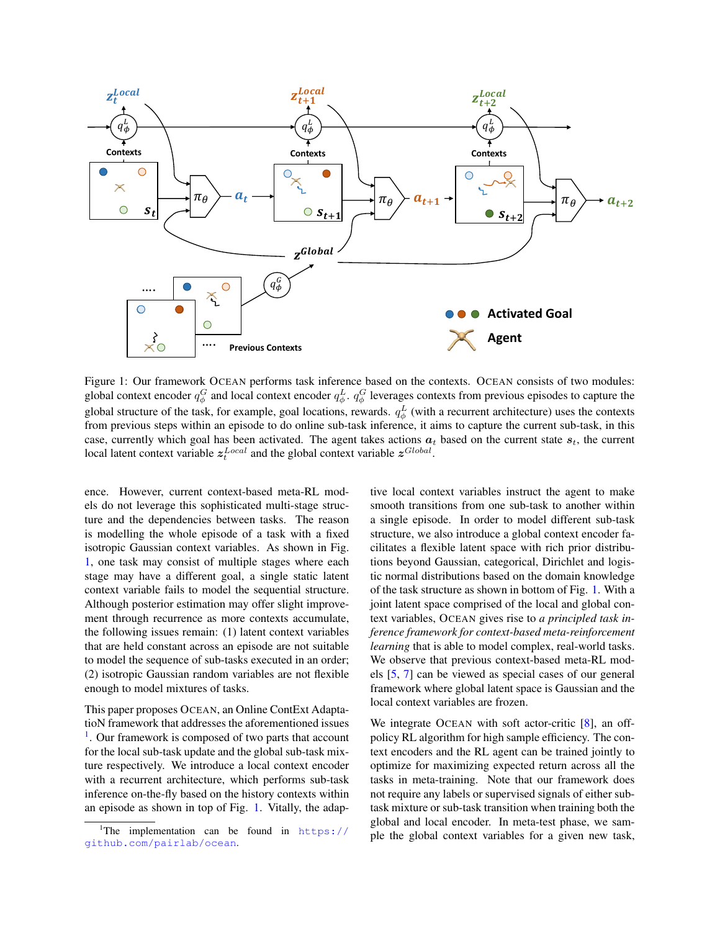

Figure 1: Our framework OCEAN performs task inference based on the contexts. OCEAN consists of two modules: global context encoder  $q_\phi^G$  and local context encoder  $q_\phi^L$ .  $q_\phi^G$  leverages contexts from previous episodes to capture the global structure of the task, for example, goal locations, rewards.  $q_{\phi}^{L}$  (with a recurrent architecture) uses the contexts from previous steps within an episode to do online sub-task inference, it aims to capture the current sub-task, in this case, currently which goal has been activated. The agent takes actions  $a_t$  based on the current state  $s_t$ , the current local latent context variable  $z_t^{Local}$  and the global context variable  $z^{Global}$ .

ence. However, current context-based meta-RL models do not leverage this sophisticated multi-stage structure and the dependencies between tasks. The reason is modelling the whole episode of a task with a fixed isotropic Gaussian context variables. As shown in Fig. 1, one task may consist of multiple stages where each stage may have a different goal, a single static latent context variable fails to model the sequential structure. Although posterior estimation may offer slight improvement through recurrence as more contexts accumulate, the following issues remain: (1) latent context variables that are held constant across an episode are not suitable to model the sequence of sub-tasks executed in an order; (2) isotropic Gaussian random variables are not flexible enough to model mixtures of tasks.

This paper proposes OCEAN, an Online ContExt AdaptatioN framework that addresses the aforementioned issues <sup>1</sup>. Our framework is composed of two parts that account for the local sub-task update and the global sub-task mixture respectively. We introduce a local context encoder with a recurrent architecture, which performs sub-task inference on-the-fly based on the history contexts within an episode as shown in top of Fig. 1. Vitally, the adaptive local context variables instruct the agent to make smooth transitions from one sub-task to another within a single episode. In order to model different sub-task structure, we also introduce a global context encoder facilitates a flexible latent space with rich prior distributions beyond Gaussian, categorical, Dirichlet and logistic normal distributions based on the domain knowledge of the task structure as shown in bottom of Fig. 1. With a joint latent space comprised of the local and global context variables, OCEAN gives rise to *a principled task inference framework for context-based meta-reinforcement learning* that is able to model complex, real-world tasks. We observe that previous context-based meta-RL models [5, 7] can be viewed as special cases of our general framework where global latent space is Gaussian and the local context variables are frozen.

We integrate OCEAN with soft actor-critic [8], an offpolicy RL algorithm for high sample efficiency. The context encoders and the RL agent can be trained jointly to optimize for maximizing expected return across all the tasks in meta-training. Note that our framework does not require any labels or supervised signals of either subtask mixture or sub-task transition when training both the global and local encoder. In meta-test phase, we sample the global context variables for a given new task,

The implementation can be found in  $https://$ [github.com/pairlab/ocean](https://github.com/pairlab/ocean).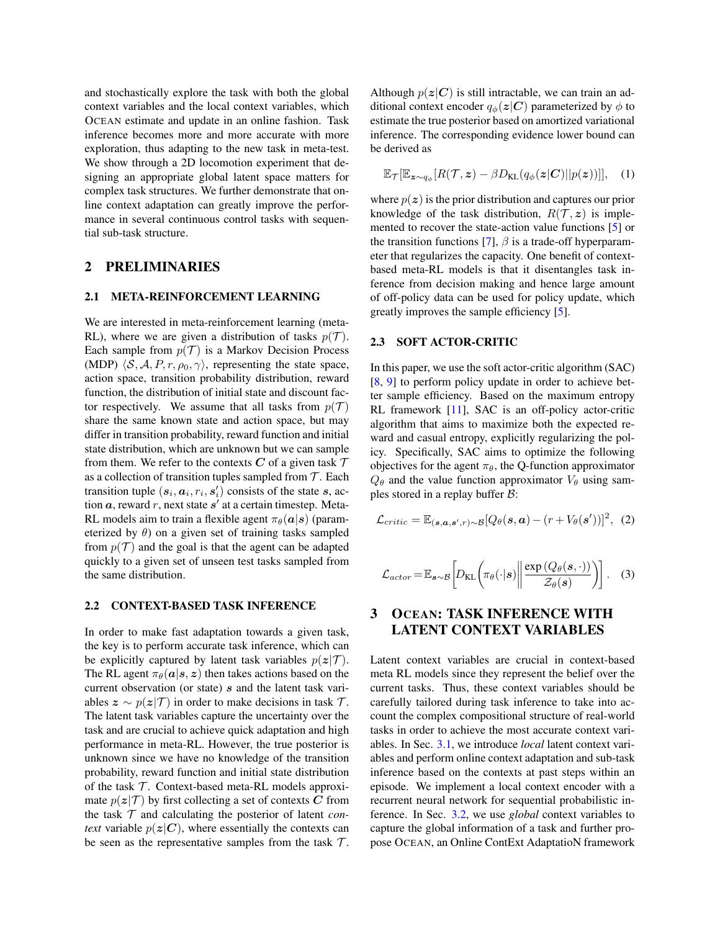and stochastically explore the task with both the global context variables and the local context variables, which OCEAN estimate and update in an online fashion. Task inference becomes more and more accurate with more exploration, thus adapting to the new task in meta-test. We show through a 2D locomotion experiment that designing an appropriate global latent space matters for complex task structures. We further demonstrate that online context adaptation can greatly improve the performance in several continuous control tasks with sequential sub-task structure.

## 2 PRELIMINARIES

### 2.1 META-REINFORCEMENT LEARNING

We are interested in meta-reinforcement learning (meta-RL), where we are given a distribution of tasks  $p(\mathcal{T})$ . Each sample from  $p(\mathcal{T})$  is a Markov Decision Process (MDP)  $\langle S, A, P, r, \rho_0, \gamma \rangle$ , representing the state space, action space, transition probability distribution, reward function, the distribution of initial state and discount factor respectively. We assume that all tasks from  $p(\mathcal{T})$ share the same known state and action space, but may differ in transition probability, reward function and initial state distribution, which are unknown but we can sample from them. We refer to the contexts C of a given task  $\mathcal T$ as a collection of transition tuples sampled from  $T$ . Each transition tuple  $(s_i, a_i, r_i, s'_i)$  consists of the state  $s$ , action  $a$ , reward  $r$ , next state  $s'$  at a certain timestep. Meta-RL models aim to train a flexible agent  $\pi_{\theta}(\mathbf{a}|\mathbf{s})$  (parameterized by  $\theta$ ) on a given set of training tasks sampled from  $p(\mathcal{T})$  and the goal is that the agent can be adapted quickly to a given set of unseen test tasks sampled from the same distribution.

#### 2.2 CONTEXT-BASED TASK INFERENCE

In order to make fast adaptation towards a given task, the key is to perform accurate task inference, which can be explicitly captured by latent task variables  $p(z|\mathcal{T})$ . The RL agent  $\pi_{\theta}(\mathbf{a}|\mathbf{s}, z)$  then takes actions based on the current observation (or state) s and the latent task variables  $z \sim p(z|\mathcal{T})$  in order to make decisions in task  $\mathcal{T}$ . The latent task variables capture the uncertainty over the task and are crucial to achieve quick adaptation and high performance in meta-RL. However, the true posterior is unknown since we have no knowledge of the transition probability, reward function and initial state distribution of the task  $T$ . Context-based meta-RL models approximate  $p(z|T)$  by first collecting a set of contexts C from the task  $T$  and calculating the posterior of latent *context* variable  $p(z|C)$ , where essentially the contexts can be seen as the representative samples from the task  $\mathcal{T}$ . Although  $p(z|C)$  is still intractable, we can train an additional context encoder  $q_{\phi}(z|C)$  parameterized by  $\phi$  to estimate the true posterior based on amortized variational inference. The corresponding evidence lower bound can be derived as

$$
\mathbb{E}_{\mathcal{T}}[\mathbb{E}_{\boldsymbol{z}\sim q_{\phi}}[R(\mathcal{T},\boldsymbol{z})-\beta D_{\mathrm{KL}}(q_{\phi}(\boldsymbol{z}|\boldsymbol{C})||p(\boldsymbol{z}))]],\quad(1)
$$

where  $p(z)$  is the prior distribution and captures our prior knowledge of the task distribution,  $R(\mathcal{T}, z)$  is implemented to recover the state-action value functions [5] or the transition functions [7],  $\beta$  is a trade-off hyperparameter that regularizes the capacity. One benefit of contextbased meta-RL models is that it disentangles task inference from decision making and hence large amount of off-policy data can be used for policy update, which greatly improves the sample efficiency [5].

### 2.3 SOFT ACTOR-CRITIC

In this paper, we use the soft actor-critic algorithm (SAC) [8, 9] to perform policy update in order to achieve better sample efficiency. Based on the maximum entropy RL framework [11], SAC is an off-policy actor-critic algorithm that aims to maximize both the expected reward and casual entropy, explicitly regularizing the policy. Specifically, SAC aims to optimize the following objectives for the agent  $\pi_{\theta}$ , the Q-function approximator  $Q_{\theta}$  and the value function approximator  $V_{\theta}$  using samples stored in a replay buffer B:

$$
\mathcal{L}_{critic} = \mathbb{E}_{(\mathbf{s}, \mathbf{a}, \mathbf{s}', r) \sim \mathcal{B}}[Q_{\theta}(\mathbf{s}, \mathbf{a}) - (r + V_{\theta}(\mathbf{s}'))]^2, (2)
$$

$$
\mathcal{L}_{actor} = \mathbb{E}_{\mathbf{s} \sim \mathcal{B}} \left[ D_{\mathrm{KL}} \left( \pi_{\theta}(\cdot | \mathbf{s}) \middle| \left| \frac{\exp \left( Q_{\theta}(\mathbf{s}, \cdot) \right)}{\mathcal{Z}_{\theta}(\mathbf{s})} \right) \right. \right]. \quad (3)
$$

# 3 OCEAN: TASK INFERENCE WITH LATENT CONTEXT VARIABLES

Latent context variables are crucial in context-based meta RL models since they represent the belief over the current tasks. Thus, these context variables should be carefully tailored during task inference to take into account the complex compositional structure of real-world tasks in order to achieve the most accurate context variables. In Sec. 3.1, we introduce *local* latent context variables and perform online context adaptation and sub-task inference based on the contexts at past steps within an episode. We implement a local context encoder with a recurrent neural network for sequential probabilistic inference. In Sec. 3.2, we use *global* context variables to capture the global information of a task and further propose OCEAN, an Online ContExt AdaptatioN framework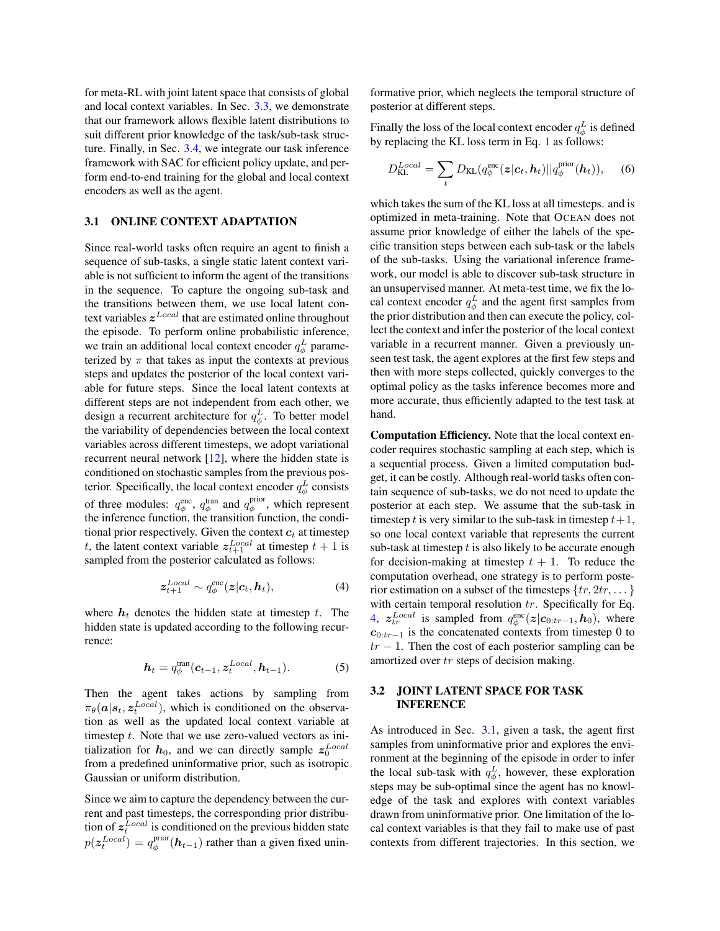for meta-RL with joint latent space that consists of global and local context variables. In Sec. 3.3, we demonstrate that our framework allows flexible latent distributions to suit different prior knowledge of the task/sub-task structure. Finally, in Sec. 3.4, we integrate our task inference framework with SAC for efficient policy update, and perform end-to-end training for the global and local context encoders as well as the agent.

# 3.1 ONLINE CONTEXT ADAPTATION

Since real-world tasks often require an agent to finish a sequence of sub-tasks, a single static latent context variable is not sufficient to inform the agent of the transitions in the sequence. To capture the ongoing sub-task and the transitions between them, we use local latent context variables  $z^{Local}$  that are estimated online throughout the episode. To perform online probabilistic inference, we train an additional local context encoder  $q_{\phi}^L$  parameterized by  $\pi$  that takes as input the contexts at previous steps and updates the posterior of the local context variable for future steps. Since the local latent contexts at different steps are not independent from each other, we design a recurrent architecture for  $q_{\phi}^L$ . To better model the variability of dependencies between the local context variables across different timesteps, we adopt variational recurrent neural network  $[12]$ , where the hidden state is conditioned on stochastic samples from the previous posterior. Specifically, the local context encoder  $q_{\phi}^L$  consists of three modules:  $q_{\phi}^{\text{enc}}$ ,  $q_{\phi}^{\text{tran}}$  and  $q_{\phi}^{\text{prior}}$ , which represent the inference function, the transition function, the conditional prior respectively. Given the context  $c_t$  at timestep t, the latent context variable  $z_{t+1}^{Local}$  at timestep  $t + 1$  is sampled from the posterior calculated as follows:

$$
z_{t+1}^{Local} \sim q_{\phi}^{\text{enc}}(z|c_t, h_t), \tag{4}
$$

where  $h_t$  denotes the hidden state at timestep t. The hidden state is updated according to the following recurrence:

$$
\boldsymbol{h}_t = q_{\phi}^{\text{tran}}(\boldsymbol{c}_{t-1}, \boldsymbol{z}_t^{Local}, \boldsymbol{h}_{t-1}). \tag{5}
$$

Then the agent takes actions by sampling from  $\pi_{\theta}(\boldsymbol{a}|\boldsymbol{s}_t, \boldsymbol{z}_t^{Local}),$  which is conditioned on the observation as well as the updated local context variable at timestep  $t$ . Note that we use zero-valued vectors as initialization for  $h_0$ , and we can directly sample  $z_0^{Local}$ from a predefined uninformative prior, such as isotropic Gaussian or uniform distribution.

Since we aim to capture the dependency between the current and past timesteps, the corresponding prior distribution of  $z_t^{Local}$  is conditioned on the previous hidden state  $p(\mathbf{z}_t^{Local}) = q_{\phi}^{\text{prior}}(\mathbf{h}_{t-1})$  rather than a given fixed uninformative prior, which neglects the temporal structure of posterior at different steps.

Finally the loss of the local context encoder  $q_{\phi}^{L}$  is defined by replacing the KL loss term in Eq. 1 as follows:

$$
D_{\text{KL}}^{Local} = \sum_{t} D_{\text{KL}}(q_{\phi}^{\text{enc}}(\boldsymbol{z}|\boldsymbol{c}_{t}, \boldsymbol{h}_{t}) || q_{\phi}^{\text{prior}}(\boldsymbol{h}_{t})), \quad (6)
$$

which takes the sum of the KL loss at all timesteps. and is optimized in meta-training. Note that OCEAN does not assume prior knowledge of either the labels of the specific transition steps between each sub-task or the labels of the sub-tasks. Using the variational inference framework, our model is able to discover sub-task structure in an unsupervised manner. At meta-test time, we fix the local context encoder  $q_{\phi}^L$  and the agent first samples from the prior distribution and then can execute the policy, collect the context and infer the posterior of the local context variable in a recurrent manner. Given a previously unseen test task, the agent explores at the first few steps and then with more steps collected, quickly converges to the optimal policy as the tasks inference becomes more and more accurate, thus efficiently adapted to the test task at hand.

Computation Efficiency. Note that the local context encoder requires stochastic sampling at each step, which is a sequential process. Given a limited computation budget, it can be costly. Although real-world tasks often contain sequence of sub-tasks, we do not need to update the posterior at each step. We assume that the sub-task in timestep t is very similar to the sub-task in timestep  $t+1$ , so one local context variable that represents the current sub-task at timestep  $t$  is also likely to be accurate enough for decision-making at timestep  $t + 1$ . To reduce the computation overhead, one strategy is to perform posterior estimation on a subset of the timesteps  $\{tr, 2tr, ...\}$ with certain temporal resolution  $tr$ . Specifically for Eq. 4,  $z_{tr}^{Local}$  is sampled from  $q_{\phi}^{\text{enc}}(z|c_{0:tr-1}, h_0)$ , where  $c_{0:tr-1}$  is the concatenated contexts from timestep 0 to  $tr - 1$ . Then the cost of each posterior sampling can be amortized over tr steps of decision making.

## 3.2 JOINT LATENT SPACE FOR TASK INFERENCE

As introduced in Sec. 3.1, given a task, the agent first samples from uninformative prior and explores the environment at the beginning of the episode in order to infer the local sub-task with  $q_{\phi}^L$ , however, these exploration steps may be sub-optimal since the agent has no knowledge of the task and explores with context variables drawn from uninformative prior. One limitation of the local context variables is that they fail to make use of past contexts from different trajectories. In this section, we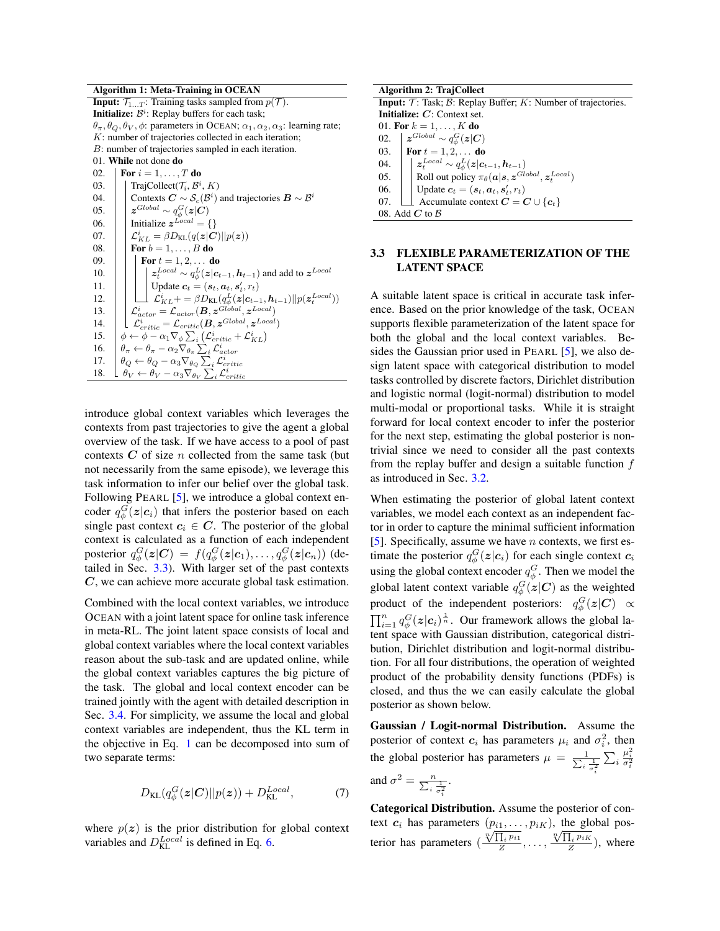Algorithm 1: Meta-Training in OCEAN

**Input:**  $\mathcal{T}_{1...T}$ : Training tasks sampled from  $p(\mathcal{T})$ . **Initialize:**  $\mathcal{B}^i$ : Replay buffers for each task;  $\theta_{\pi}, \theta_{Q}, \theta_{V}, \phi$ : parameters in OCEAN;  $\alpha_{1}, \alpha_{2}, \alpha_{3}$ : learning rate; K: number of trajectories collected in each iteration; B: number of trajectories sampled in each iteration. 01. While not done do 02. **For**  $i = 1, ..., T$  do 03. TrajCollect( $\mathcal{T}_i$ ,  $\mathcal{B}^i$ ,  $K$ ) 04. Contexts  $C \sim \mathcal{S}_c(\mathcal{B}^i)$  and trajectories  $\mathbf{B} \sim \mathcal{B}^i$ 05.  $|$   $|$  z<sup>Global</sup> ∼  $q_{\phi}^G(z|C)$ 06. | Initialize  $z^{Local} = \{\}$ 07.  $\left| \begin{array}{c} \int \mathcal{L}_{KL}^i = \beta D_{\text{KL}}(q(\textbf{z}|C)||p(\textbf{z})) \end{array} \right|$ 08. **For**  $b = 1, ..., B$  do 09. **For**  $t = 1, 2, ...$  **do** 10.  $\| \cdot \| z_t^{Local} \sim q_\phi^L(z|c_{t-1}, h_{t-1})$  and add to  $z^{Local}$ 11. | | Update  $\mathbf{c}_t = (\mathbf{s}_t, \mathbf{a}_t, \mathbf{s}'_t, r_t)$ 12.  $\left| \begin{array}{c} \perp \end{array} \right|$   $\left| \begin{array}{c} \perp \end{array} \right|$   $\mathcal{L}_{KL}^i = \beta D_{\text{KL}}(q_{\phi}^L(z|\mathbf{c}_{t-1}, \mathbf{h}_{t-1}) || p(\mathbf{z}_t^{Local}))$ 13.  $\mathcal{L}_{actor} = \mathcal{L}_{actor}(\boldsymbol{B}, \boldsymbol{z}^{Global}, \boldsymbol{z}^{Local})$ 14.  $\left| \begin{array}{c} \mathcal{L}_{critic} = \mathcal{L}_{critic}(\boldsymbol{B}, \boldsymbol{z}^{Global}, \boldsymbol{z}^{Local}) \end{array} \right|$ 15.  $\phi \leftarrow \phi - \alpha_1 \nabla_{\phi} \sum_i (\mathcal{L}_{critic}^i + \mathcal{L}_{KL}^i)$ 16.  $\theta_{\pi} \leftarrow \theta_{\pi} - \alpha_2 \nabla_{\theta_{\pi}} \sum_{i} \mathcal{L}_{actor}^{i}$ 17.  $\theta_Q \leftarrow \theta_Q - \alpha_3 \nabla_{\theta_Q} \sum_i \mathcal{L}_{critic}^i$ 18.  $\theta_V \leftarrow \theta_V - \alpha_3 \nabla_{\theta_V} \sum_i \mathcal{L}_{critic}^i$ 

introduce global context variables which leverages the contexts from past trajectories to give the agent a global overview of the task. If we have access to a pool of past contexts  $C$  of size n collected from the same task (but not necessarily from the same episode), we leverage this task information to infer our belief over the global task. Following PEARL [5], we introduce a global context encoder  $q_{\phi}^{G}(z|c_i)$  that infers the posterior based on each single past context  $c_i \in C$ . The posterior of the global context is calculated as a function of each independent posterior  $q_{\phi}^G(\bm{z}|\bm{C}) \,=\, f(q_{\phi}^G(\bm{z}|\bm{c}_1),\ldots,q_{\phi}^G(\bm{z}|\bm{c}_n))$  (detailed in Sec. 3.3). With larger set of the past contexts C, we can achieve more accurate global task estimation.

Combined with the local context variables, we introduce OCEAN with a joint latent space for online task inference in meta-RL. The joint latent space consists of local and global context variables where the local context variables reason about the sub-task and are updated online, while the global context variables captures the big picture of the task. The global and local context encoder can be trained jointly with the agent with detailed description in Sec. 3.4. For simplicity, we assume the local and global context variables are independent, thus the KL term in the objective in Eq. 1 can be decomposed into sum of two separate terms:

$$
D_{\text{KL}}(q^G_{\phi}(\boldsymbol{z}|\boldsymbol{C})||p(\boldsymbol{z})) + D_{\text{KL}}^{Local}, \tag{7}
$$

where  $p(z)$  is the prior distribution for global context variables and  $D_{\text{KL}}^{Local}$  is defined in Eq. 6.

| Algorithm 2: TrajCollect                                                                         |                                                                                                                                 |  |  |  |
|--------------------------------------------------------------------------------------------------|---------------------------------------------------------------------------------------------------------------------------------|--|--|--|
| <b>Input:</b> $\mathcal{T}$ : Task; $\mathcal{B}$ : Replay Buffer; $K$ : Number of trajectories. |                                                                                                                                 |  |  |  |
| <b>Initialize:</b> $C$ : Context set.                                                            |                                                                                                                                 |  |  |  |
| 01. For $k = 1, , K$ do                                                                          |                                                                                                                                 |  |  |  |
| 02.                                                                                              | $\boldsymbol{z}^{Global} \sim q_{\phi}^{G}(\boldsymbol{z} \boldsymbol{C})$                                                      |  |  |  |
|                                                                                                  | 03. <b>For</b> $t = 1, 2, $ <b>do</b>                                                                                           |  |  |  |
| 04.                                                                                              | $\textbf{\textit{z}}_{t}^{Local} \sim q_{\phi}^{L}(\textbf{\textit{z}}   \textbf{\textit{c}}_{t-1}, \textbf{\textit{h}}_{t-1})$ |  |  |  |
| 0.5 <sub>1</sub>                                                                                 | Roll out policy $\pi_{\theta}(\mathbf{a} \mathbf{s}, \mathbf{z}^{Global}, \mathbf{z}^{Local}_t)$                                |  |  |  |
| 06.                                                                                              | Update $c_t = (\mathbf{s}_t, \mathbf{a}_t, \mathbf{s}'_t, r_t)$                                                                 |  |  |  |
| 07.                                                                                              | Accumulate context $C = C \cup \{c_t\}$                                                                                         |  |  |  |
| 08. Add $C$ to $\beta$                                                                           |                                                                                                                                 |  |  |  |

#### 3.3 FLEXIBLE PARAMETERIZATION OF THE LATENT SPACE

A suitable latent space is critical in accurate task inference. Based on the prior knowledge of the task, OCEAN supports flexible parameterization of the latent space for both the global and the local context variables. Besides the Gaussian prior used in PEARL [5], we also design latent space with categorical distribution to model tasks controlled by discrete factors, Dirichlet distribution and logistic normal (logit-normal) distribution to model multi-modal or proportional tasks. While it is straight forward for local context encoder to infer the posterior for the next step, estimating the global posterior is nontrivial since we need to consider all the past contexts from the replay buffer and design a suitable function  $f$ as introduced in Sec. 3.2.

When estimating the posterior of global latent context variables, we model each context as an independent factor in order to capture the minimal sufficient information [5]. Specifically, assume we have  $n$  contexts, we first estimate the posterior  $q_{\phi}^{G}(\boldsymbol{z}|\boldsymbol{c}_i)$  for each single context  $\boldsymbol{c}_i$ using the global context encoder  $q_{\phi}^{G}$ . Then we model the global latent context variable  $q_{\phi}^{G}(\boldsymbol{z}|\boldsymbol{C})$  as the weighted product of the independent posteriors:  $q_{\phi}^{G}(\boldsymbol{z}|\boldsymbol{C}) \propto$  $\prod_{i=1}^{n} q_{\phi}^{G}(z|c_i)^{\frac{1}{n}}$ . Our framework allows the global latent space with Gaussian distribution, categorical distribution, Dirichlet distribution and logit-normal distribution. For all four distributions, the operation of weighted product of the probability density functions (PDFs) is closed, and thus the we can easily calculate the global posterior as shown below.

Gaussian / Logit-normal Distribution. Assume the posterior of context  $c_i$  has parameters  $\mu_i$  and  $\sigma_i^2$ , then the global posterior has parameters  $\mu = \frac{1}{\sum_i}$  $i \frac{1}{\sigma_i^2}$  $\sum_i$  $\frac{\mu_i^2}{\sigma_i^2}$ and  $\sigma^2 = \frac{n}{\sum_i \frac{1}{\sigma_i^2}}$ .

Categorical Distribution. Assume the posterior of context  $c_i$  has parameters  $(p_{i1}, \ldots, p_{iK})$ , the global postext  $c_i$  has parameters  $(\frac{\sqrt[n]{\prod_i p_i}}{Z})$  $\frac{1}{\prod_i p_{i1}}$ ,  $\ldots$ ,  $\frac{\sqrt[n]{\prod_i p_{iK}}}{Z}$  $\frac{\Gamma_i P^{iR}}{Z}$ ), where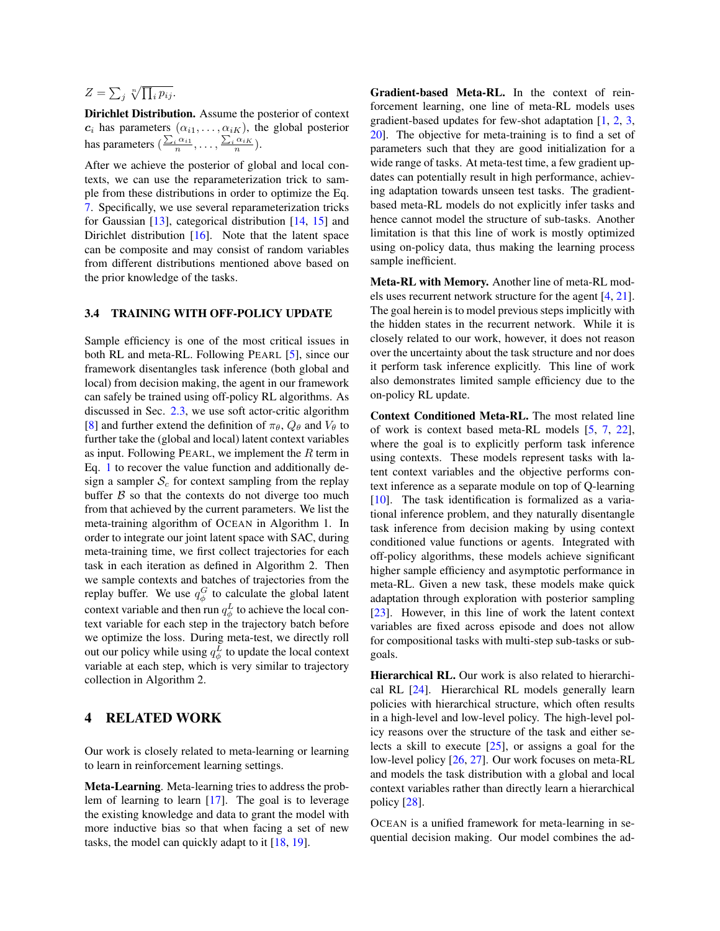# $Z = \sum_j \sqrt[n]{\prod_i p_{ij}}.$

Dirichlet Distribution. Assume the posterior of context  $c_i$  has parameters  $(\alpha_{i1}, \ldots, \alpha_{iK})$ , the global posterior has parameters  $(\frac{\sum_i \alpha_{i1}}{n}, \dots, \frac{\sum_i \alpha_{iK}}{n}).$ 

After we achieve the posterior of global and local contexts, we can use the reparameterization trick to sample from these distributions in order to optimize the Eq. 7. Specifically, we use several reparameterization tricks for Gaussian [13], categorical distribution [14, 15] and Dirichlet distribution [16]. Note that the latent space can be composite and may consist of random variables from different distributions mentioned above based on the prior knowledge of the tasks.

#### 3.4 TRAINING WITH OFF-POLICY UPDATE

Sample efficiency is one of the most critical issues in both RL and meta-RL. Following PEARL [5], since our framework disentangles task inference (both global and local) from decision making, the agent in our framework can safely be trained using off-policy RL algorithms. As discussed in Sec. 2.3, we use soft actor-critic algorithm [8] and further extend the definition of  $\pi_{\theta}$ ,  $Q_{\theta}$  and  $V_{\theta}$  to further take the (global and local) latent context variables as input. Following PEARL, we implement the  $R$  term in Eq. 1 to recover the value function and additionally design a sampler  $S_c$  for context sampling from the replay buffer  $\beta$  so that the contexts do not diverge too much from that achieved by the current parameters. We list the meta-training algorithm of OCEAN in Algorithm 1. In order to integrate our joint latent space with SAC, during meta-training time, we first collect trajectories for each task in each iteration as defined in Algorithm 2. Then we sample contexts and batches of trajectories from the replay buffer. We use  $q_{\phi}^G$  to calculate the global latent context variable and then run  $q_{\phi}^L$  to achieve the local context variable for each step in the trajectory batch before we optimize the loss. During meta-test, we directly roll out our policy while using  $q_{\phi}^L$  to update the local context variable at each step, which is very similar to trajectory collection in Algorithm 2.

# 4 RELATED WORK

Our work is closely related to meta-learning or learning to learn in reinforcement learning settings.

Meta-Learning. Meta-learning tries to address the problem of learning to learn [17]. The goal is to leverage the existing knowledge and data to grant the model with more inductive bias so that when facing a set of new tasks, the model can quickly adapt to it [18, 19].

Gradient-based Meta-RL. In the context of reinforcement learning, one line of meta-RL models uses gradient-based updates for few-shot adaptation [1, 2, 3, 20]. The objective for meta-training is to find a set of parameters such that they are good initialization for a wide range of tasks. At meta-test time, a few gradient updates can potentially result in high performance, achieving adaptation towards unseen test tasks. The gradientbased meta-RL models do not explicitly infer tasks and hence cannot model the structure of sub-tasks. Another limitation is that this line of work is mostly optimized using on-policy data, thus making the learning process sample inefficient.

Meta-RL with Memory. Another line of meta-RL models uses recurrent network structure for the agent [4, 21]. The goal herein is to model previous steps implicitly with the hidden states in the recurrent network. While it is closely related to our work, however, it does not reason over the uncertainty about the task structure and nor does it perform task inference explicitly. This line of work also demonstrates limited sample efficiency due to the on-policy RL update.

Context Conditioned Meta-RL. The most related line of work is context based meta-RL models [5, 7, 22], where the goal is to explicitly perform task inference using contexts. These models represent tasks with latent context variables and the objective performs context inference as a separate module on top of Q-learning [10]. The task identification is formalized as a variational inference problem, and they naturally disentangle task inference from decision making by using context conditioned value functions or agents. Integrated with off-policy algorithms, these models achieve significant higher sample efficiency and asymptotic performance in meta-RL. Given a new task, these models make quick adaptation through exploration with posterior sampling [23]. However, in this line of work the latent context variables are fixed across episode and does not allow for compositional tasks with multi-step sub-tasks or subgoals.

Hierarchical RL. Our work is also related to hierarchical RL [24]. Hierarchical RL models generally learn policies with hierarchical structure, which often results in a high-level and low-level policy. The high-level policy reasons over the structure of the task and either selects a skill to execute [25], or assigns a goal for the low-level policy [26, 27]. Our work focuses on meta-RL and models the task distribution with a global and local context variables rather than directly learn a hierarchical policy [28].

OCEAN is a unified framework for meta-learning in sequential decision making. Our model combines the ad-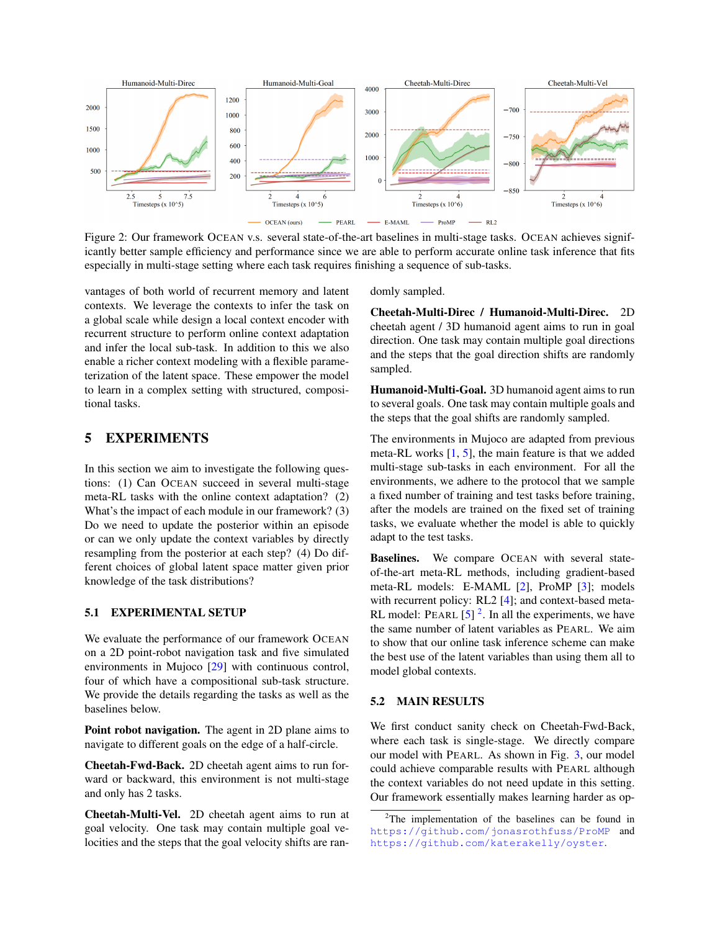

Figure 2: Our framework OCEAN v.s. several state-of-the-art baselines in multi-stage tasks. OCEAN achieves significantly better sample efficiency and performance since we are able to perform accurate online task inference that fits especially in multi-stage setting where each task requires finishing a sequence of sub-tasks.

vantages of both world of recurrent memory and latent contexts. We leverage the contexts to infer the task on a global scale while design a local context encoder with recurrent structure to perform online context adaptation and infer the local sub-task. In addition to this we also enable a richer context modeling with a flexible parameterization of the latent space. These empower the model to learn in a complex setting with structured, compositional tasks.

## 5 EXPERIMENTS

In this section we aim to investigate the following questions: (1) Can OCEAN succeed in several multi-stage meta-RL tasks with the online context adaptation? (2) What's the impact of each module in our framework? (3) Do we need to update the posterior within an episode or can we only update the context variables by directly resampling from the posterior at each step? (4) Do different choices of global latent space matter given prior knowledge of the task distributions?

#### 5.1 EXPERIMENTAL SETUP

We evaluate the performance of our framework OCEAN on a 2D point-robot navigation task and five simulated environments in Mujoco [29] with continuous control, four of which have a compositional sub-task structure. We provide the details regarding the tasks as well as the baselines below.

Point robot navigation. The agent in 2D plane aims to navigate to different goals on the edge of a half-circle.

Cheetah-Fwd-Back. 2D cheetah agent aims to run forward or backward, this environment is not multi-stage and only has 2 tasks.

Cheetah-Multi-Vel. 2D cheetah agent aims to run at goal velocity. One task may contain multiple goal velocities and the steps that the goal velocity shifts are randomly sampled.

Cheetah-Multi-Direc / Humanoid-Multi-Direc. 2D cheetah agent / 3D humanoid agent aims to run in goal direction. One task may contain multiple goal directions and the steps that the goal direction shifts are randomly sampled.

Humanoid-Multi-Goal. 3D humanoid agent aims to run to several goals. One task may contain multiple goals and the steps that the goal shifts are randomly sampled.

The environments in Mujoco are adapted from previous meta-RL works [1, 5], the main feature is that we added multi-stage sub-tasks in each environment. For all the environments, we adhere to the protocol that we sample a fixed number of training and test tasks before training, after the models are trained on the fixed set of training tasks, we evaluate whether the model is able to quickly adapt to the test tasks.

Baselines. We compare OCEAN with several stateof-the-art meta-RL methods, including gradient-based meta-RL models: E-MAML [2], ProMP [3]; models with recurrent policy: RL2 [4]; and context-based meta-RL model: PEARL  $[5]^2$ . In all the experiments, we have the same number of latent variables as PEARL. We aim to show that our online task inference scheme can make the best use of the latent variables than using them all to model global contexts.

#### 5.2 MAIN RESULTS

We first conduct sanity check on Cheetah-Fwd-Back, where each task is single-stage. We directly compare our model with PEARL. As shown in Fig. 3, our model could achieve comparable results with PEARL although the context variables do not need update in this setting. Our framework essentially makes learning harder as op-

 $2$ The implementation of the baselines can be found in <https://github.com/jonasrothfuss/ProMP> and <https://github.com/katerakelly/oyster>.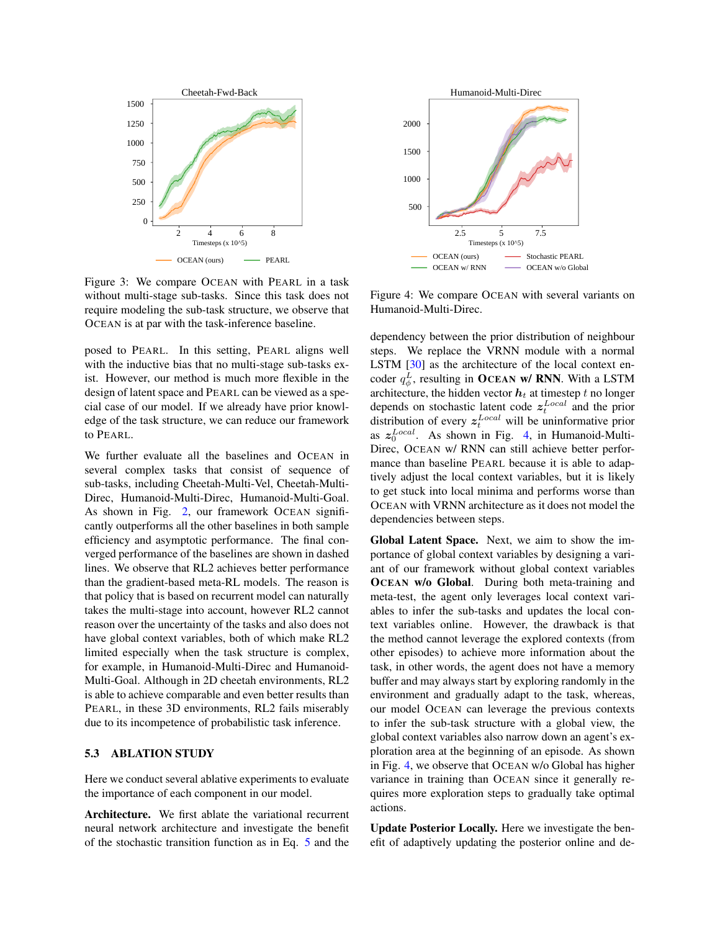

Figure 3: We compare OCEAN with PEARL in a task without multi-stage sub-tasks. Since this task does not require modeling the sub-task structure, we observe that OCEAN is at par with the task-inference baseline.

posed to PEARL. In this setting, PEARL aligns well with the inductive bias that no multi-stage sub-tasks exist. However, our method is much more flexible in the design of latent space and PEARL can be viewed as a special case of our model. If we already have prior knowledge of the task structure, we can reduce our framework to PEARL.

We further evaluate all the baselines and OCEAN in several complex tasks that consist of sequence of sub-tasks, including Cheetah-Multi-Vel, Cheetah-Multi-Direc, Humanoid-Multi-Direc, Humanoid-Multi-Goal. As shown in Fig. 2, our framework OCEAN significantly outperforms all the other baselines in both sample efficiency and asymptotic performance. The final converged performance of the baselines are shown in dashed lines. We observe that RL2 achieves better performance than the gradient-based meta-RL models. The reason is that policy that is based on recurrent model can naturally takes the multi-stage into account, however RL2 cannot reason over the uncertainty of the tasks and also does not have global context variables, both of which make RL2 limited especially when the task structure is complex, for example, in Humanoid-Multi-Direc and Humanoid-Multi-Goal. Although in 2D cheetah environments, RL2 is able to achieve comparable and even better results than PEARL, in these 3D environments, RL2 fails miserably due to its incompetence of probabilistic task inference.

#### 5.3 ABLATION STUDY

Here we conduct several ablative experiments to evaluate the importance of each component in our model.

Architecture. We first ablate the variational recurrent neural network architecture and investigate the benefit of the stochastic transition function as in Eq. 5 and the



Figure 4: We compare OCEAN with several variants on Humanoid-Multi-Direc.

dependency between the prior distribution of neighbour steps. We replace the VRNN module with a normal LSTM [30] as the architecture of the local context encoder  $q_{\phi}^L$ , resulting in OCEAN w/ RNN. With a LSTM architecture, the hidden vector  $h_t$  at timestep t no longer depends on stochastic latent code  $z_t^{Local}$  and the prior distribution of every  $z_t^{Local}$  will be uninformative prior as  $z_0^{Local}$ . As shown in Fig. 4, in Humanoid-Multi-Direc, OCEAN w/ RNN can still achieve better performance than baseline PEARL because it is able to adaptively adjust the local context variables, but it is likely to get stuck into local minima and performs worse than OCEAN with VRNN architecture as it does not model the dependencies between steps.

Global Latent Space. Next, we aim to show the importance of global context variables by designing a variant of our framework without global context variables OCEAN w/o Global. During both meta-training and meta-test, the agent only leverages local context variables to infer the sub-tasks and updates the local context variables online. However, the drawback is that the method cannot leverage the explored contexts (from other episodes) to achieve more information about the task, in other words, the agent does not have a memory buffer and may always start by exploring randomly in the environment and gradually adapt to the task, whereas, our model OCEAN can leverage the previous contexts to infer the sub-task structure with a global view, the global context variables also narrow down an agent's exploration area at the beginning of an episode. As shown in Fig. 4, we observe that OCEAN w/o Global has higher variance in training than OCEAN since it generally requires more exploration steps to gradually take optimal actions.

Update Posterior Locally. Here we investigate the benefit of adaptively updating the posterior online and de-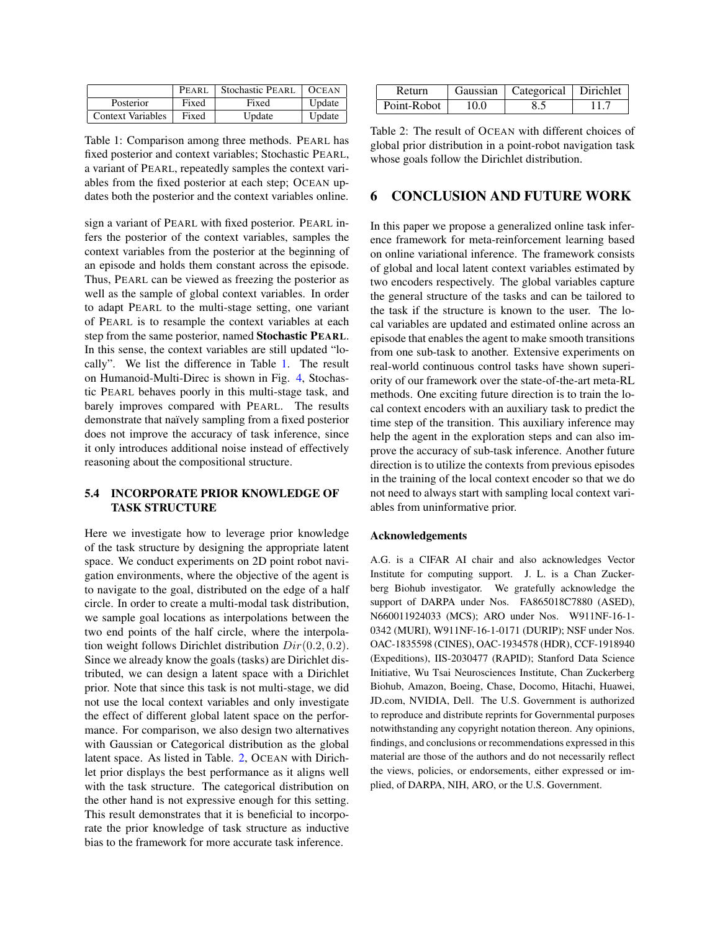|                          | PEARL | <b>Stochastic PEARL</b> | <b>OCEAN</b> |
|--------------------------|-------|-------------------------|--------------|
| Posterior                | Fixed | Fixed                   | Update       |
| <b>Context Variables</b> | Fixed | Update                  | Update       |

Table 1: Comparison among three methods. PEARL has fixed posterior and context variables; Stochastic PEARL, a variant of PEARL, repeatedly samples the context variables from the fixed posterior at each step; OCEAN updates both the posterior and the context variables online.

sign a variant of PEARL with fixed posterior. PEARL infers the posterior of the context variables, samples the context variables from the posterior at the beginning of an episode and holds them constant across the episode. Thus, PEARL can be viewed as freezing the posterior as well as the sample of global context variables. In order to adapt PEARL to the multi-stage setting, one variant of PEARL is to resample the context variables at each step from the same posterior, named Stochastic PEARL. In this sense, the context variables are still updated "locally". We list the difference in Table 1. The result on Humanoid-Multi-Direc is shown in Fig. 4, Stochastic PEARL behaves poorly in this multi-stage task, and barely improves compared with PEARL. The results demonstrate that naïvely sampling from a fixed posterior does not improve the accuracy of task inference, since it only introduces additional noise instead of effectively reasoning about the compositional structure.

## 5.4 INCORPORATE PRIOR KNOWLEDGE OF TASK STRUCTURE

Here we investigate how to leverage prior knowledge of the task structure by designing the appropriate latent space. We conduct experiments on 2D point robot navigation environments, where the objective of the agent is to navigate to the goal, distributed on the edge of a half circle. In order to create a multi-modal task distribution, we sample goal locations as interpolations between the two end points of the half circle, where the interpolation weight follows Dirichlet distribution  $Dir(0.2, 0.2)$ . Since we already know the goals (tasks) are Dirichlet distributed, we can design a latent space with a Dirichlet prior. Note that since this task is not multi-stage, we did not use the local context variables and only investigate the effect of different global latent space on the performance. For comparison, we also design two alternatives with Gaussian or Categorical distribution as the global latent space. As listed in Table. 2, OCEAN with Dirichlet prior displays the best performance as it aligns well with the task structure. The categorical distribution on the other hand is not expressive enough for this setting. This result demonstrates that it is beneficial to incorporate the prior knowledge of task structure as inductive bias to the framework for more accurate task inference.

| Return      |      | Gaussian   Categorical   Dirichlet |      |
|-------------|------|------------------------------------|------|
| Point-Robot | 10.0 | 8.5                                | 11.7 |

Table 2: The result of OCEAN with different choices of global prior distribution in a point-robot navigation task whose goals follow the Dirichlet distribution.

# 6 CONCLUSION AND FUTURE WORK

In this paper we propose a generalized online task inference framework for meta-reinforcement learning based on online variational inference. The framework consists of global and local latent context variables estimated by two encoders respectively. The global variables capture the general structure of the tasks and can be tailored to the task if the structure is known to the user. The local variables are updated and estimated online across an episode that enables the agent to make smooth transitions from one sub-task to another. Extensive experiments on real-world continuous control tasks have shown superiority of our framework over the state-of-the-art meta-RL methods. One exciting future direction is to train the local context encoders with an auxiliary task to predict the time step of the transition. This auxiliary inference may help the agent in the exploration steps and can also improve the accuracy of sub-task inference. Another future direction is to utilize the contexts from previous episodes in the training of the local context encoder so that we do not need to always start with sampling local context variables from uninformative prior.

#### Acknowledgements

A.G. is a CIFAR AI chair and also acknowledges Vector Institute for computing support. J. L. is a Chan Zuckerberg Biohub investigator. We gratefully acknowledge the support of DARPA under Nos. FA865018C7880 (ASED), N660011924033 (MCS); ARO under Nos. W911NF-16-1- 0342 (MURI), W911NF-16-1-0171 (DURIP); NSF under Nos. OAC-1835598 (CINES), OAC-1934578 (HDR), CCF-1918940 (Expeditions), IIS-2030477 (RAPID); Stanford Data Science Initiative, Wu Tsai Neurosciences Institute, Chan Zuckerberg Biohub, Amazon, Boeing, Chase, Docomo, Hitachi, Huawei, JD.com, NVIDIA, Dell. The U.S. Government is authorized to reproduce and distribute reprints for Governmental purposes notwithstanding any copyright notation thereon. Any opinions, findings, and conclusions or recommendations expressed in this material are those of the authors and do not necessarily reflect the views, policies, or endorsements, either expressed or implied, of DARPA, NIH, ARO, or the U.S. Government.